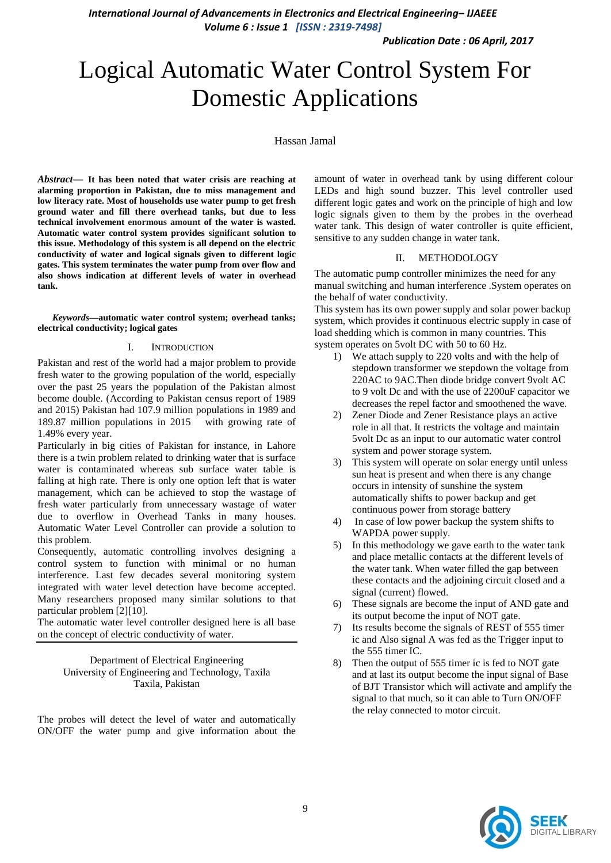*Publication Date : 06 April, 2017*

# Logical Automatic Water Control System For Domestic Applications

### Hassan Jamal

*Abstract***— It has been noted that water crisis are reaching at alarming proportion in Pakistan, due to miss management and low literacy rate. Most of households use water pump to get fresh ground water and fill there overhead tanks, but due to less technical involvement enormous amount of the water is wasted. Automatic water control system provides significant solution to this issue. Methodology of this system is all depend on the electric conductivity of water and logical signals given to different logic gates. This system terminates the water pump from over flow and also shows indication at different levels of water in overhead tank.**

*Keywords—***automatic water control system; overhead tanks; electrical conductivity; logical gates**

#### I. INTRODUCTION

Pakistan and rest of the world had a major problem to provide fresh water to the growing population of the world, especially over the past 25 years the population of the Pakistan almost become double. (According to Pakistan census report of 1989 and 2015) Pakistan had 107.9 million populations in 1989 and 189.87 million populations in 2015 with growing rate of 1.49% every year.

Particularly in big cities of Pakistan for instance, in Lahore there is a twin problem related to drinking water that is surface water is contaminated whereas sub surface water table is falling at high rate. There is only one option left that is water management, which can be achieved to stop the wastage of fresh water particularly from unnecessary wastage of water due to overflow in Overhead Tanks in many houses. Automatic Water Level Controller can provide a solution to this problem.

Consequently, automatic controlling involves designing a control system to function with minimal or no human interference. Last few decades several monitoring system integrated with water level detection have become accepted. Many researchers proposed many similar solutions to that particular problem [2][10].

The automatic water level controller designed here is all base on the concept of electric conductivity of water.

> Department of Electrical Engineering University of Engineering and Technology, Taxila Taxila, Pakistan

The probes will detect the level of water and automatically ON/OFF the water pump and give information about the

amount of water in overhead tank by using different colour LEDs and high sound buzzer. This level controller used different logic gates and work on the principle of high and low logic signals given to them by the probes in the overhead water tank. This design of water controller is quite efficient, sensitive to any sudden change in water tank.

#### II. METHODOLOGY

The automatic pump controller minimizes the need for any manual switching and human interference .System operates on the behalf of water conductivity.

This system has its own power supply and solar power backup system, which provides it continuous electric supply in case of load shedding which is common in many countries. This system operates on 5volt DC with 50 to 60 Hz.

- 1) We attach supply to 220 volts and with the help of stepdown transformer we stepdown the voltage from 220AC to 9AC.Then diode bridge convert 9volt AC to 9 volt Dc and with the use of 2200uF capacitor we decreases the repel factor and smoothened the wave.
- 2) Zener Diode and Zener Resistance plays an active role in all that. It restricts the voltage and maintain 5volt Dc as an input to our automatic water control system and power storage system.
- 3) This system will operate on solar energy until unless sun heat is present and when there is any change occurs in intensity of sunshine the system automatically shifts to power backup and get continuous power from storage battery
- 4) In case of low power backup the system shifts to WAPDA power supply.
- 5) In this methodology we gave earth to the water tank and place metallic contacts at the different levels of the water tank. When water filled the gap between these contacts and the adjoining circuit closed and a signal (current) flowed.
- 6) These signals are become the input of AND gate and its output become the input of NOT gate.
- 7) Its results become the signals of REST of 555 timer ic and Also signal A was fed as the Trigger input to the 555 timer IC.
- 8) Then the output of 555 timer ic is fed to NOT gate and at last its output become the input signal of Base of BJT Transistor which will activate and amplify the signal to that much, so it can able to Turn ON/OFF the relay connected to motor circuit.

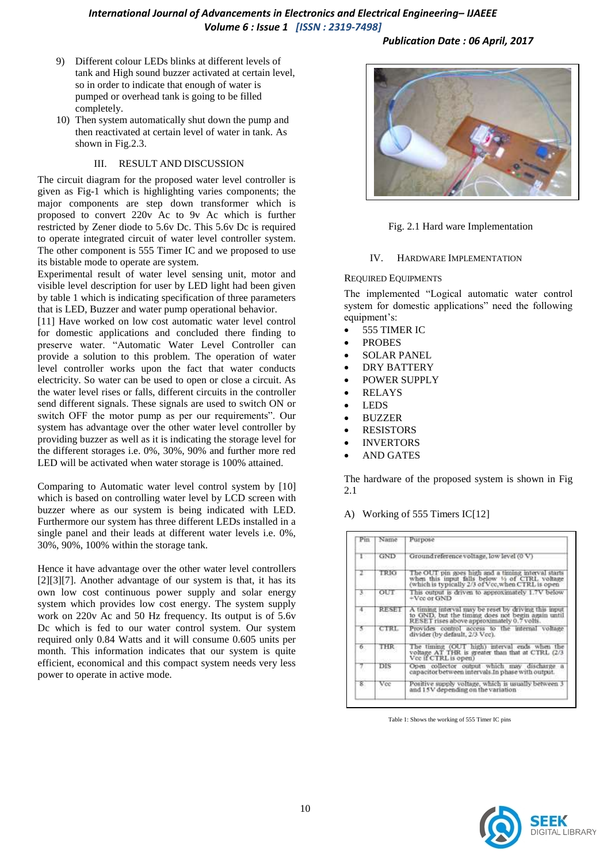- 9) Different colour LEDs blinks at different levels of tank and High sound buzzer activated at certain level, so in order to indicate that enough of water is pumped or overhead tank is going to be filled completely.
- 10) Then system automatically shut down the pump and then reactivated at certain level of water in tank. As shown in Fig.2.3.

## III. RESULT AND DISCUSSION

The circuit diagram for the proposed water level controller is given as Fig-1 which is highlighting varies components; the major components are step down transformer which is proposed to convert 220v Ac to 9v Ac which is further restricted by Zener diode to 5.6v Dc. This 5.6v Dc is required to operate integrated circuit of water level controller system. The other component is 555 Timer IC and we proposed to use its bistable mode to operate are system.

Experimental result of water level sensing unit, motor and visible level description for user by LED light had been given by table 1 which is indicating specification of three parameters that is LED, Buzzer and water pump operational behavior.

[11] Have worked on low cost automatic water level control for domestic applications and concluded there finding to preserve water. "Automatic Water Level Controller can provide a solution to this problem. The operation of water level controller works upon the fact that water conducts electricity. So water can be used to open or close a circuit. As the water level rises or falls, different circuits in the controller send different signals. These signals are used to switch ON or switch OFF the motor pump as per our requirements". Our system has advantage over the other water level controller by providing buzzer as well as it is indicating the storage level for the different storages i.e. 0%, 30%, 90% and further more red LED will be activated when water storage is 100% attained.

Comparing to Automatic water level control system by [10] which is based on controlling water level by LCD screen with buzzer where as our system is being indicated with LED. Furthermore our system has three different LEDs installed in a single panel and their leads at different water levels i.e. 0%, 30%, 90%, 100% within the storage tank.

Hence it have advantage over the other water level controllers [2][3][7]. Another advantage of our system is that, it has its own low cost continuous power supply and solar energy system which provides low cost energy. The system supply work on 220v Ac and 50 Hz frequency. Its output is of 5.6v Dc which is fed to our water control system. Our system required only 0.84 Watts and it will consume 0.605 units per month. This information indicates that our system is quite efficient, economical and this compact system needs very less power to operate in active mode.

## *Publication Date : 06 April, 2017*



## Fig. 2.1 Hard ware Implementation

#### IV. HARDWARE IMPLEMENTATION

#### REQUIRED EQUIPMENTS

The implemented "Logical automatic water control system for domestic applications" need the following equipment's:

- 555 TIMER IC
- PROBES
- SOLAR PANEL
- DRY BATTERY
- POWER SUPPLY
- RELAYS
- LEDS
- BUZZER
- RESISTORS
- INVERTORS
- AND GATES

The hardware of the proposed system is shown in Fig 2.1

A) Working of 555 Timers IC[12]

| Pin | Name       | Purpose                                                                                                                                                   |  |  |  |  |
|-----|------------|-----------------------------------------------------------------------------------------------------------------------------------------------------------|--|--|--|--|
| ь   | <b>GND</b> | Ground reference voltage, low level (0 V)                                                                                                                 |  |  |  |  |
| r   | TRIG       | The OUT pin goes high and a timing interval starts<br>when this input falls below 15 of CTRL voltage<br>(which is typically 2/3 of Vee, when CTRL is open |  |  |  |  |
| 3.  | OUT        | This output is driven to approximately 1.7V below<br>$+$ Vcc or GND                                                                                       |  |  |  |  |
| 4.  | RESE       | A timing interval may be reset by driving this input<br>to GND, but the timing does not begin again until<br>RESET rises above approximately 0.7 volts.   |  |  |  |  |
| 5   | CTRL       | Provides control access to the internal voltage<br>divider (by default, 2/3 Vcc).                                                                         |  |  |  |  |
| 6,  | THR        | The timing (OUT high) interval ends when the<br>voltage AT THR is greater than that at CTRL (2/3<br>Vec if CTRL is open)                                  |  |  |  |  |
| 7.  | DIS        | Open collector output which may discharge a<br>capacitor between intervals.In phase with output.                                                          |  |  |  |  |
| 8.  | Vec        | Positive supply voltage, which is usually between 3<br>and 15V depending on the variation                                                                 |  |  |  |  |

Table 1: Shows the working of 555 Timer IC pins

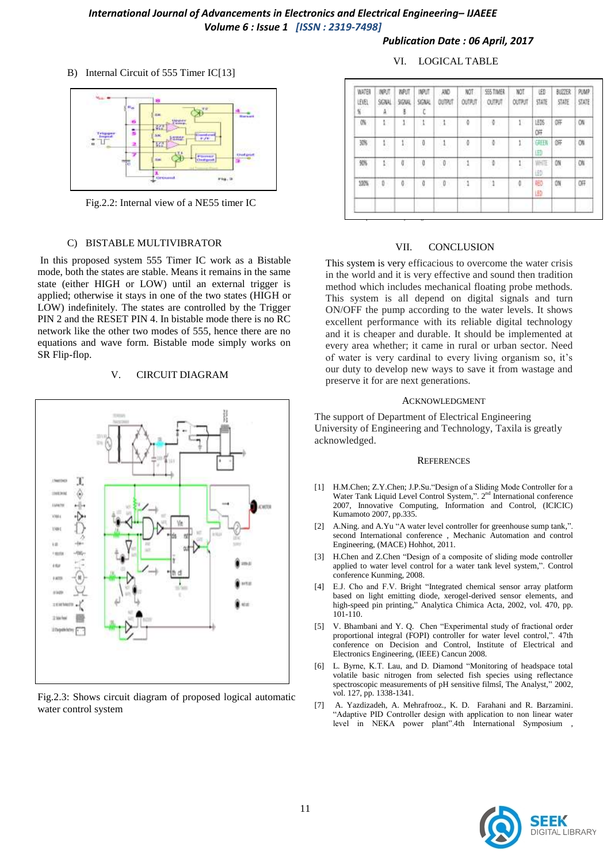#### *Publication Date : 06 April, 2017*

## B) Internal Circuit of 555 Timer IC[13]



Fig.2.2: Internal view of a NE55 timer IC

#### C) BISTABLE MULTIVIBRATOR

In this proposed system 555 Timer IC work as a Bistable mode, both the states are stable. Means it remains in the same state (either HIGH or LOW) until an external trigger is applied; otherwise it stays in one of the two states (HIGH or LOW) indefinitely. The states are controlled by the Trigger PIN 2 and the RESET PIN 4. In bistable mode there is no RC network like the other two modes of 555, hence there are no equations and wave form. Bistable mode simply works on SR Flip-flop.

#### V. CIRCUIT DIAGRAM



Fig.2.3: Shows circuit diagram of proposed logical automatic water control system

#### VI. LOGICAL TABLE

| WATER<br>LEVEL<br>監 | <b>NRST</b><br>SGNAL<br>ă | <b>TUPUT</b><br><b>SGWL</b><br>8 | INPUT<br>SGNAL<br>t | AND<br>OUTPUT                 | NOT<br>OUTRIT | 555 TIMER<br><b>OUTFUT</b> | NOT<br><b>OUTPUT</b> | LED<br>STATE | BUZZER<br>STATE | <b>PUMP</b><br>实际 |
|---------------------|---------------------------|----------------------------------|---------------------|-------------------------------|---------------|----------------------------|----------------------|--------------|-----------------|-------------------|
| 筛                   | V.                        | Ţ.                               | ı                   | $\Lambda$ .                   | ŏ             | 便.                         | r.                   | LEDS<br>0Ħ   | 0 <sub>FF</sub> | ON                |
| 3%<br>559           | 17<br>38                  | $\mathbf{1}$                     | Ō<br>Ŭ,             | 1<br>- -                      | ö             | ä                          | ĭ                    | GIEB<br>田    | OFF             | ON                |
| 926                 | ŀ,                        | o<br>72                          | 0                   | $\boldsymbol{0}$<br>č<br>wenn | 1             | b<br>na n                  | Ļ                    | WHITE<br>HD. | ON              | ON<br>99          |
| 10%                 | Ü<br>٠<br>n Si            | 0<br>n e                         | Ō<br>÷              | $\emptyset$                   | $\frac{1}{2}$ | $\frac{1}{2}$              | $\mathbb{C}$         | 邨<br>山       | ON              | 旗                 |

#### VII. CONCLUSION

This system is very efficacious to overcome the water crisis in the world and it is very effective and sound then tradition method which includes mechanical floating probe methods. This system is all depend on digital signals and turn ON/OFF the pump according to the water levels. It shows excellent performance with its reliable digital technology and it is cheaper and durable. It should be implemented at every area whether; it came in rural or urban sector. Need of water is very cardinal to every living organism so, it's our duty to develop new ways to save it from wastage and preserve it for are next generations.

#### ACKNOWLEDGMENT

The support of Department of Electrical Engineering University of Engineering and Technology, Taxila is greatly acknowledged.

#### **REFERENCES**

- [1] H.M.Chen; Z.Y.Chen; J.P.Su."Design of a Sliding Mode Controller for a Water Tank Liquid Level Control System,". 2<sup>nd</sup> International conference 2007, Innovative Computing, Information and Control, (ICICIC) Kumamoto 2007, pp.335.
- [2] A.Ning. and A.Yu "A water level controller for greenhouse sump tank,". second International conference , Mechanic Automation and control Engineering, (MACE) Hohhot, 2011.
- [3] H.Chen and Z.Chen "Design of a composite of sliding mode controller applied to water level control for a water tank level system,". Control conference Kunming, 2008.
- [4] E.J. Cho and F.V. Bright "Integrated chemical sensor array platform based on light emitting diode, xerogel-derived sensor elements, and high-speed pin printing," Analytica Chimica Acta, 2002, vol. 470, pp. 101-110.
- [5] V. Bhambani and Y. Q. Chen "Experimental study of fractional order proportional integral (FOPI) controller for water level control,". 47th conference on Decision and Control, Institute of Electrical and Electronics Engineering, (IEEE) Cancun 2008.
- [6] L. Byrne, K.T. Lau, and D. Diamond "Monitoring of headspace total volatile basic nitrogen from selected fish species using reflectance spectroscopic measurements of pH sensitive filmsî, The Analyst," 2002, vol. 127, pp. 1338-1341.
- [7] A. Yazdizadeh, A. Mehrafrooz., K. D. Farahani and R. Barzamini. "Adaptive PID Controller design with application to non linear water level in NEKA power plant".4th International Symposium